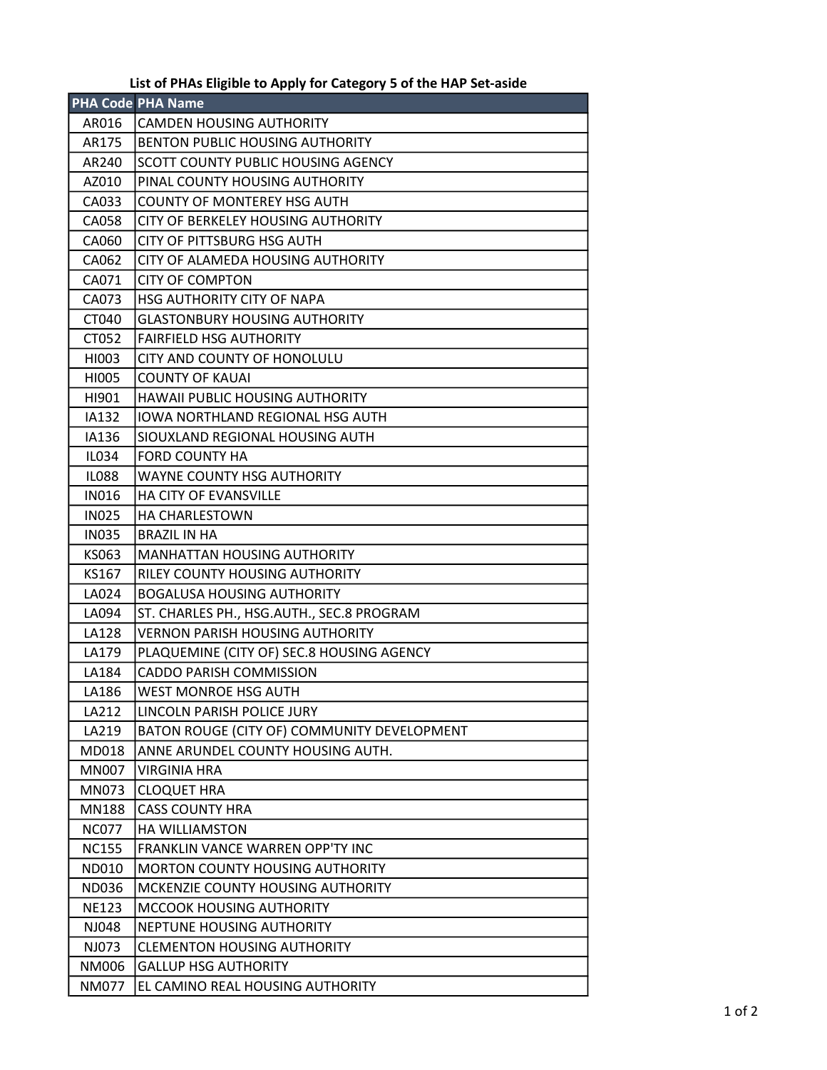## List of PHAs Eligible to Apply for Category 5 of the HAP Set-aside

|              | <b>PHA Code PHA Name</b>                    |
|--------------|---------------------------------------------|
| AR016        | CAMDEN HOUSING AUTHORITY                    |
| AR175        | <b>BENTON PUBLIC HOUSING AUTHORITY</b>      |
| AR240        | SCOTT COUNTY PUBLIC HOUSING AGENCY          |
| AZ010        | PINAL COUNTY HOUSING AUTHORITY              |
| CA033        | <b>COUNTY OF MONTEREY HSG AUTH</b>          |
| CA058        | CITY OF BERKELEY HOUSING AUTHORITY          |
| CA060        | CITY OF PITTSBURG HSG AUTH                  |
| CA062        | CITY OF ALAMEDA HOUSING AUTHORITY           |
| CA071        | <b>CITY OF COMPTON</b>                      |
| CA073        | HSG AUTHORITY CITY OF NAPA                  |
| CT040        | <b>GLASTONBURY HOUSING AUTHORITY</b>        |
| CT052        | <b>FAIRFIELD HSG AUTHORITY</b>              |
| HI003        | CITY AND COUNTY OF HONOLULU                 |
| HI005        | <b>COUNTY OF KAUAI</b>                      |
| HI901        | HAWAII PUBLIC HOUSING AUTHORITY             |
| IA132        | IOWA NORTHLAND REGIONAL HSG AUTH            |
| IA136        | SIOUXLAND REGIONAL HOUSING AUTH             |
| IL034        | <b>FORD COUNTY HA</b>                       |
| <b>IL088</b> | <b>WAYNE COUNTY HSG AUTHORITY</b>           |
| <b>IN016</b> | <b>HA CITY OF EVANSVILLE</b>                |
| <b>IN025</b> | <b>HA CHARLESTOWN</b>                       |
| <b>IN035</b> | <b>BRAZIL IN HA</b>                         |
| KS063        | <b>MANHATTAN HOUSING AUTHORITY</b>          |
| KS167        | RILEY COUNTY HOUSING AUTHORITY              |
| LA024        | <b>BOGALUSA HOUSING AUTHORITY</b>           |
| LA094        | ST. CHARLES PH., HSG.AUTH., SEC.8 PROGRAM   |
| LA128        | <b>VERNON PARISH HOUSING AUTHORITY</b>      |
| LA179        | PLAQUEMINE (CITY OF) SEC.8 HOUSING AGENCY   |
| LA184        | <b>CADDO PARISH COMMISSION</b>              |
| LA186        | <b>WEST MONROE HSG AUTH</b>                 |
| LA212        | LINCOLN PARISH POLICE JURY                  |
| LA219        | BATON ROUGE (CITY OF) COMMUNITY DEVELOPMENT |
| MD018        | ANNE ARUNDEL COUNTY HOUSING AUTH.           |
| <b>MN007</b> | <b>VIRGINIA HRA</b>                         |
| MN073        | <b>CLOQUET HRA</b>                          |
| <b>MN188</b> | <b>CASS COUNTY HRA</b>                      |
| <b>NC077</b> | HA WILLIAMSTON                              |
| <b>NC155</b> | FRANKLIN VANCE WARREN OPP'TY INC            |
| ND010        | MORTON COUNTY HOUSING AUTHORITY             |
| <b>ND036</b> | MCKENZIE COUNTY HOUSING AUTHORITY           |
| <b>NE123</b> | MCCOOK HOUSING AUTHORITY                    |
| NJ048        | NEPTUNE HOUSING AUTHORITY                   |
| NJ073        | <b>CLEMENTON HOUSING AUTHORITY</b>          |
| NM006        | <b>GALLUP HSG AUTHORITY</b>                 |
| <b>NM077</b> | EL CAMINO REAL HOUSING AUTHORITY            |